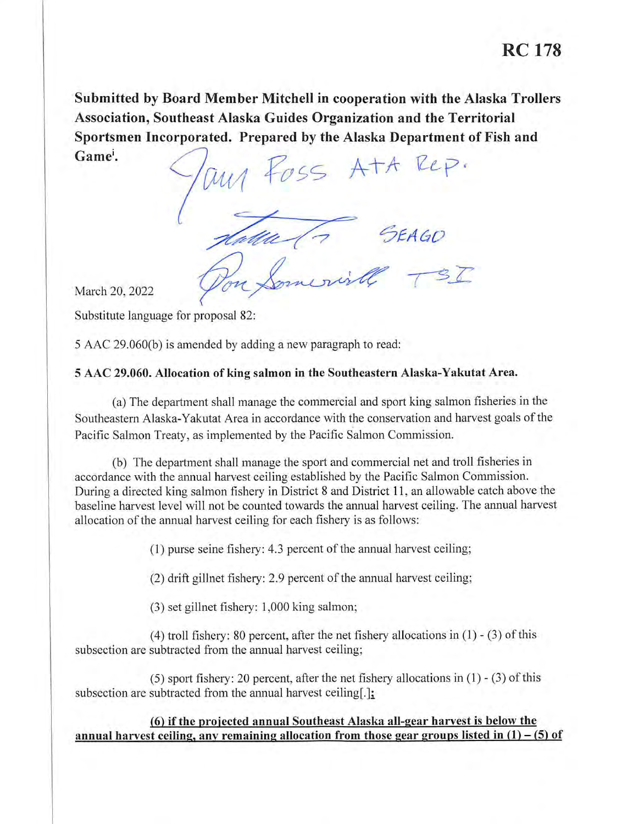**Submitted by Board Member Mitchell in cooperation with the Alaska Trollers Association, Southeast Alaska Guides Organization and the Territorial Sportsmen Incorporated. Prepared by the Alaska Department of Fish and**  Game<sup>i</sup>.

any foss Att Rep. para (7 SEAGO Pon Somerial TSI

March 20, 2022

Substitute language for proposal 82:

5 AAC 29.060(b) is amended by adding a new paragraph to read:

### **5 AAC 29.060. Allocation of king salmon in the Southeastern Alaska-Yakutat Area.**

(a) The department shall manage the commercial and sport king salmon fisheries in the Southeastern Alaska-Yakutat Area in accordance with the conservation and harvest goals of the Pacific Salmon Treaty, as implemented by the Pacific Salmon Commission.

(b) The department shall manage the sport and commercial net and troll fisheries in accordance with the annual harvest ceiling established by the Pacific Salmon Commission. During a directed king salmon fishery in District 8 and District 11 , an allowable catch above the baseline harvest level will not be counted towards the annual harvest ceiling. The annual harvest allocation of the annual harvest ceiling for each fishery is as follows:

 $(1)$  purse seine fishery: 4.3 percent of the annual harvest ceiling;

 $(2)$  drift gillnet fishery: 2.9 percent of the annual harvest ceiling;

(3) set gillnet fishery: 1,000 king salmon;

(4) troll fishery: 80 percent, after the net fishery allocations in  $(1)$  -  $(3)$  of this subsection are subtracted from the annual harvest ceiling;

(5) sport fishery: 20 percent, after the net fishery allocations in (1) - (3) of this subsection are subtracted from the annual harvest ceiling.

**{6) if the projected annual Southeast Alaska all-gear harvest is below the**  annual harvest ceiling, any remaining allocation from those gear groups listed in  $(1) - (5)$  of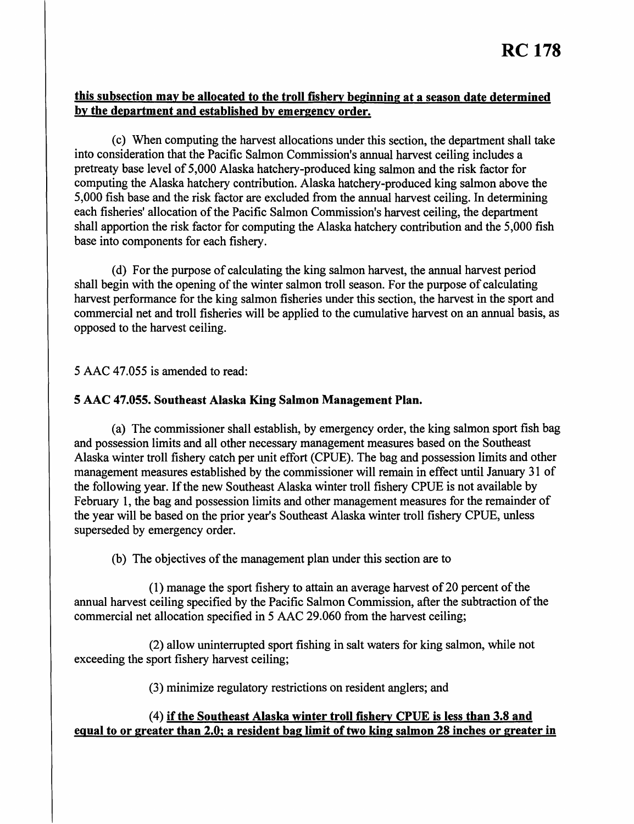# **this subsection may be allocated to the troll fishery beginning at a season date determined by the department and established by emergency order.**

(c) When computing the harvest allocations under this section, the department shall take into consideration that the Pacific Salmon Commission's annual harvest ceiling includes a pretreaty base level of 5,000 Alaska hatchery-produced king salmon and the risk factor for computing the Alaska hatchery contribution. Alaska hatchery-produced king salmon above the 5,000 fish base and the risk factor are excluded from the annual harvest ceiling. In determining each fisheries' allocation of the Pacific Salmon Commission's harvest ceiling, the department shall apportion the risk factor for computing the Alaska hatchery contribution and the 5,000 fish base into components for each fishery.

(d) For the purpose of calculating the king salmon harvest, the annual harvest period shall begin with the opening of the winter salmon troll season. For the purpose of calculating harvest performance for the king salmon fisheries under this section, the harvest in the sport and commercial net and troll fisheries will be applied to the cumulative harvest on an annual basis, as opposed to the harvest ceiling.

5 AAC 47.055 is amended to read:

#### **5 AAC 47.055. Southeast Alaska King Salmon Management Plan.**

(a) The commissioner shall establish, by emergency order, the king salmon sport fish bag and possession limits and all other necessary management measures based on the Southeast Alaska winter troll fishery catch per unit effort (CPUE). The bag and possession limits and other management measures established by the commissioner will remain in effect until January 31 of the following year. If the new Southeast Alaska winter troll fishery CPUE is not available by February 1, the bag and possession limits and other management measures for the remainder of the year will be based on the prior year's Southeast Alaska winter troll fishery CPUE, unless superseded by emergency order.

(b) The objectives of the management plan under this section are to

 $(1)$  manage the sport fishery to attain an average harvest of 20 percent of the annual harvest ceiling specified by the Pacific Salmon Commission, after the subtraction of the commercial net allocation specified in 5 AAC 29.060 from the harvest ceiling;

(2) allow uninterrupted sport fishing in salt waters for king salmon, while not exceeding the sport fishery harvest ceiling;

(3) minimize regulatory restrictions on resident anglers; and

## (4) **if the Southeast Alaska winter troll fishery CPUE is less than 3.8 and equal to or greater than 2.0; a resident bag limit of two king salmon 28 inches or greater in**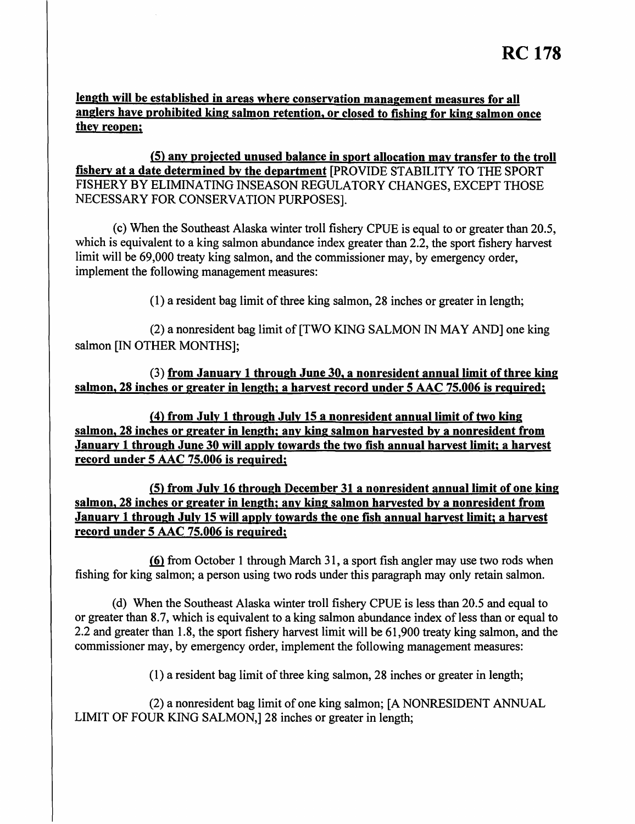**length will be established in areas where conservation management measures for all anglers have prohibited king salmon retention, or closed to fishing for king salmon once they reopen;** 

**(5) any proiected unused balance in sport allocation may transfer to the troll fishery at a date determined by the department** [PROVIDE STABILITY TO THE SPORT FISHERY BY ELIMINATING INSEASON REGULATORY CHANGES, EXCEPT THOSE NECESSARY FOR CONSERVATION PURPOSES].

(c) When the Southeast Alaska winter troll fishery CPUE is equal to or greater than 20.5, which is equivalent to a king salmon abundance index greater than 2.2, the sport fishery harvest limit will be 69,000 treaty king salmon, and the commissioner may, by emergency order, implement the following management measures:

 $(1)$  a resident bag limit of three king salmon, 28 inches or greater in length;

(2) a nonresident bag limit of [TWO KING SALMON IN MAY AND] one king salmon [IN OTHER MONTHS];

(3) **from January 1 through June 30, a nonresident annual limit of three king salmon, 28 inches or greater in length; a harvest record under 5 AAC 75.006 is required;** 

*(***4) from July 1 through July 15 a nonresident annual limit of two king salmon, 28 inches or greater in length; any king salmon harvested by a nonresident from January 1 through June 30 will apply towards the two fish annual harvest limit; a harvest record under 5 AAC 75.006 is required;** 

**(5) from July 16 through December 31 a nonresident annual limit of one king salmon, 28 inches or greater in length; any king salmon harvested by a nonresident from January 1 through July 15 will apply towards the one fish annual harvest limit; a harvest record under 5 AAC 75.006 is required;** 

.{fil from October 1 through March 31, a sport fish angler may use two rods when fishing for king salmon; a person using two rods under this paragraph may only retain salmon.

(d) When the Southeast Alaska winter troll fishery CPUE is less than 20.5 and equal to or greater than 8.7, which is equivalent to a king salmon abundance index of less than or equal to 2.2 and greater than 1.8, the sport fishery harvest limit will be 61,900 treaty king salmon, and the commissioner may, by emergency order, implement the following management measures:

 $(1)$  a resident bag limit of three king salmon, 28 inches or greater in length;

(2) a nonresident bag limit ofone king salmon; [A NONRESIDENT ANNUAL LIMIT OF FOUR KING SALMON,] 28 inches or greater in length;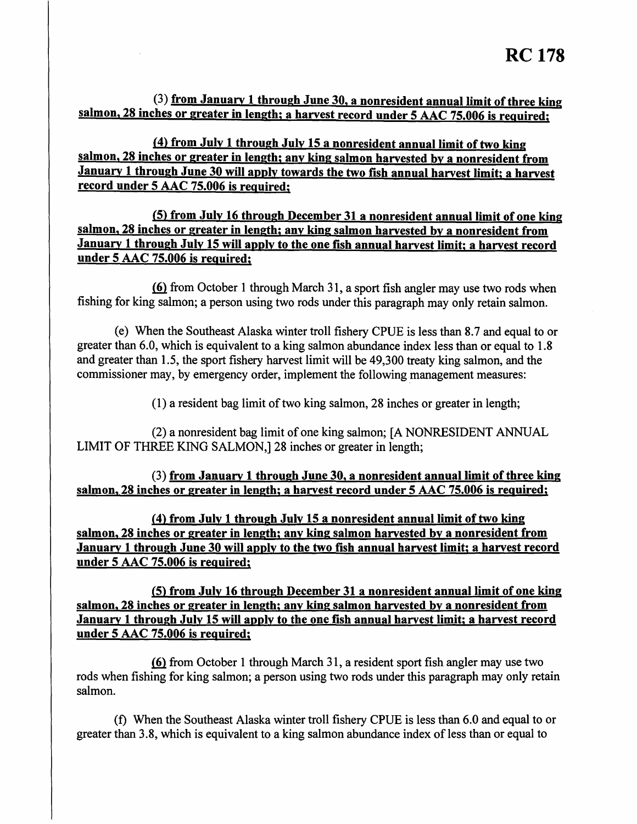(3) from January 1 through June 30, a nonresident annual limit of three king **salmon, 28 inches or greater in length; a harvest record under 5 AAC 75.006 is required;** 

*(***4) from July 1 through July 15 a nonresident annual limit of two king salmon, 28 inches or greater in length; any king salmon harvested by a nonresident from January 1 through June 30 will apply towards the two fish annual harvest limit; a harvest record under 5 AAC 75.006 is required;** 

**(5) from July 16 through December 31 a nonresident annual limit of one king salmon, 28 inches or greater in length; any king salmon harvested by a nonresident from January 1 through July 15 will apply to the one fish annual harvest limit; a harvest record under 5 AAC 75.006 is required;** 

**(6)** from October 1 through March 31, a sport fish angler may use two rods when fishing for king salmon; a person using two rods under this paragraph may only retain salmon.

(e) When the Southeast Alaska winter troll fishery CPUE is less than 8.7 and equal to or greater than 6.0, which is equivalent to a king salmon abundance index less than or equal to 1.8 and greater than 1.5, the sport fishery harvest limit will be 49,300 treaty king salmon, and the commissioner may, by emergency order, implement the following management measures:

 $(1)$  a resident bag limit of two king salmon, 28 inches or greater in length;

(2) a nonresident bag limit of one king salmon; [A NONRESIDENT ANNUAL LIMIT OF THREE KING SALMON,] 28 inches or greater in length;

(3) **from January 1 through June 30, a nonresident annual limit of three king salmon, 28 inches or greater in length; a harvest record under 5 AAC 75.006 is required;** 

*(***4) from July 1 through July 15 a nonresident annual limit of two king salmon, 28 inches or greater in length; any king salmon harvested by a nonresident from January 1 through June 30 will apply to the two fish annual harvest limit; a harvest record under 5 AAC 75.006 is required;** 

**(5) from July 16 through December 31 a nonresident annual limit of one king salmon, 28 inches or greater in length; any king salmon harvested by a nonresident from January 1 through July 15 will apply to the one fish annual harvest limit; a harvest record under 5 AAC 75.006 is required;** 

{fil from October 1 through March 31, a resident sport fish angler may use two rods when fishing for king salmon; a person using two rods under this paragraph may only retain salmon.

(f) When the Southeast Alaska winter troll fishery CPUE is less than 6.0 and equal to or greater than 3.8, which is equivalent to a king salmon abundance index of less than or equal to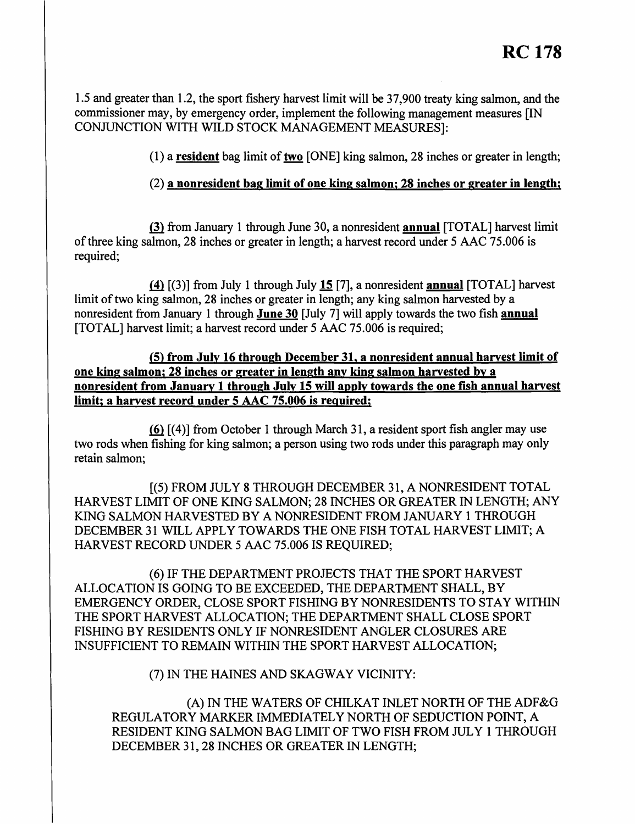1.5 and greater than 1.2, the sport fishery harvest limit will be 37,900 treaty king salmon, and the commissioner may, by emergency order, implement the following management measures [IN CONJUNCTION WITH WILD STOCK MANAGEMENT MEASURES]:

(1) a **resident** bag limit of two [ONE] king salmon, 28 inches or greater in length;

# (2) **a nonresident bag limit of one king salmon; 28 inches or greater in length;**

Q} from January 1 through June 30, a nonresident **annual** [TOTAL] harvest limit of three king salmon, 28 inches or greater in length; a harvest record under 5 AAC 75.006 is required;

ffi [(3)] from July 1 through July 15 [7], a nonresident **annual** [TOTAL] harvest limit of two king salmon, 28 inches or greater in length; any king salmon harvested by a nonresident from January 1 through **June 30** [July 7] will apply towards the two fish **annual**  [TOTAL] harvest limit; a harvest record under 5 AAC 75.006 is required;

**(5) from July 16 through December 31, a nonresident annual harvest limit of one king salmon; 28 inches or greater in length any king salmon harvested by a nonresident from January 1 through July 15 will apply towards the one fish annual harvest limit; a harvest record under 5 AAC 75.006 is required;** 

 $(6)$   $[(4)]$  from October 1 through March 31, a resident sport fish angler may use two rods when fishing for king salmon; a person using two rods under this paragraph may only retain salmon;

[(5) FROM JULY 8 THROUGH DECEMBER 31, A NONRESIDENT TOTAL HARVEST LIMIT OF ONE KING SALMON; 28 INCHES OR GREATER IN LENGTH; ANY KING SALMON HARVESTED BY A NONRESIDENT FROM JANUARY 1 THROUGH DECEMBER 31 WILL APPLY TOWARDS THE ONE FISH TOTAL HARVEST LIMIT; A HARVEST RECORD UNDER 5 AAC 75.006 IS REQUIRED;

(6) IF THE DEPARTMENT PROJECTS THAT THE SPORT HARVEST ALLOCATION IS GOING TO BE EXCEEDED, THE DEPARTMENT SHALL, BY EMERGENCY ORDER, CLOSE SPORT FISHING BY NONRESIDENTS TO STAY WITHIN THE SPORT HARVEST ALLOCATION; THE DEPARTMENT SHALL CLOSE SPORT FISHING BY RESIDENTS ONLY IF NONRESIDENT ANGLER CLOSURES ARE INSUFFICIENT TO REMAIN WITHIN THE SPORT HARVEST ALLOCATION;

(7) IN THE HAINES AND SKAGWAY VICINITY:

(A) IN THE WATERS OF CHILKAT INLET NORTH OF THE ADF&G REGULATORY MARKER IMMEDIATELY NORTH OF SEDUCTION POINT, A RESIDENT KING SALMON BAG LIMIT OF TWO FISH FROM JULY 1 THROUGH DECEMBER 31, 28 INCHES OR GREATER IN LENGTH;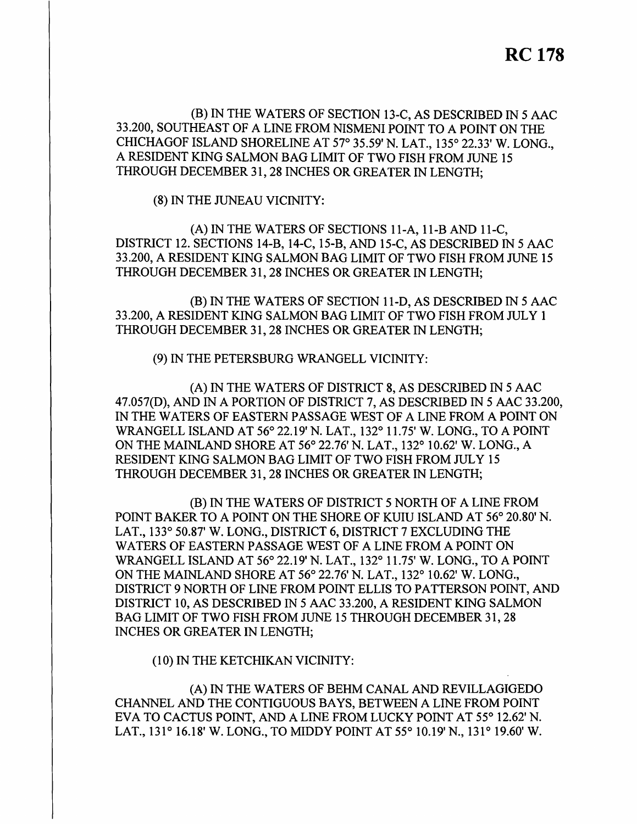(B) IN THE WATERS OF SECTION 13-C, AS DESCRIBED IN 5 AAC 33.200, SOUTHEAST OF A LINE FROM NISMENI POINT TO A POINT ON THE CHICHAGOF ISLAND SHORELINE AT 57° 35.59' N. LAT., 135° 22.33' W. LONG., A RESIDENT KING SALMON BAG LIMIT OF TWO FISH FROM JUNE 15 THROUGH DECEMBER 31, 28 INCHES OR GREATER IN LENGTH;

(8) IN THE JUNEAU VICINITY:

(A) IN THE WATERS OF SECTIONS 11-A, 11-B AND 11-C, DISTRICT 12. SECTIONS 14-B, 14-C, 15-B, AND 15-C, AS DESCRIBED IN 5 AAC 33.200, A RESIDENT KING SALMON BAG LIMIT OF TWO FISH FROM JUNE 15 THROUGH DECEMBER 31, 28 INCHES OR GREATER IN LENGTH;

(B) IN THE WATERS OF SECTION 11-D, AS DESCRIBED IN 5 AAC 33.200, A RESIDENT KING SALMON BAG LIMIT OF TWO FISH FROM JULY 1 THROUGH DECEMBER 31, 28 INCHES OR GREATER IN LENGTH;

(9) IN THE PETERSBURG WRANGELL VICINITY:

(A) IN THE WATERS OF DISTRICT 8, AS DESCRIBED IN *5* AAC 47.057(D), AND IN A PORTION OF DISTRICT 7, AS DESCRIBED IN 5 AAC 33.200, IN THE WATERS OF EASTERN PASSAGE WEST OF A LINE FROM A POINT ON WRANGELL ISLAND AT 56° 22.19' N. LAT., 132° 11. 75' W. LONG., TO A POINT ON THE MAINLAND SHORE AT 56° 22.76' N. LAT., 132° 10.62' W. LONG., A RESIDENT KING SALMON BAG LIMIT OF TWO FISH FROM JULY 15 THROUGH DECEMBER 31, 28 INCHES OR GREATER IN LENGTH;

(B) IN THE WATERS OF DISTRICT 5 NORTH OF A LINE FROM POINT BAKER TO A POINT ON THE SHORE OF KUIU ISLAND AT 56° 20.80' N. LAT., 133° 50.87' W. LONG., DISTRICT 6, DISTRICT 7 EXCLUDING THE WATERS OF EASTERN PASSAGE WEST OF A LINE FROM A POINT ON WRANGELL ISLAND AT 56° 22.19' N. LAT., 132° 11.75' W. LONG., TO A POINT ON THE MAINLAND SHORE AT 56° 22.76' N. LAT., 132° 10.62' W. LONG., DISTRICT 9 NORTH OF LINE FROM POINT ELLIS TO PATTERSON POINT, AND DISTRICT 10, AS DESCRIBED IN 5 AAC 33.200, A RESIDENT KING SALMON BAG LIMIT OF TWO FISH FROM JUNE 15 THROUGH DECEMBER 31, 28 INCHES OR GREATER IN LENGTH;

(10) IN THE KETCHIKAN VICINITY:

(A) IN THE WATERS OF BEHM CANAL AND REVILLAGIGEDO CHANNEL AND THE CONTIGUOUS BAYS, BETWEEN A LINE FROM POINT EVA TO CACTUS POINT, AND A LINE FROM LUCKY POINT AT 55° 12.62' N. LAT., 131° 16.18' W. LONG., TO MIDDY POINT AT 55° 10.19'N., 131° 19.60' W.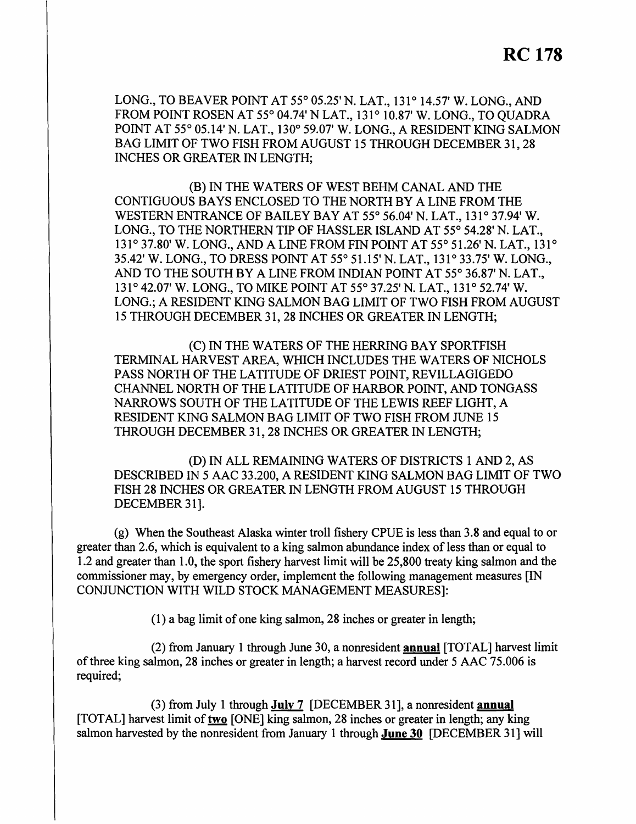LONG., TO BEAVER POINT AT 55° 05.25' N. LAT., 131° 14.57' W. LONG., AND FROM POINT ROSEN AT 55° 04.74' NLAT., 131° 10.87' W. LONG., TO QUADRA POINT AT 55° 05.14' N. LAT., 130° 59.07' W. LONG., A RESIDENT KING SALMON BAG LIMIT OF TWO FISH FROM AUGUST 15 THROUGH DECEMBER 31, 28 INCHES OR GREATER IN LENGTH;

(B) IN THE WATERS OF WEST BEHM CANAL AND THE CONTIGUOUS BAYS ENCLOSED TO THE NORTH BY A LINE FROM THE WESTERN ENTRANCE OF BAILEY BAY AT 55° 56.04' N. LAT., 131° 37.94' W. LONG., TO THE NORTHERN TIP OF HASSLER ISLAND AT 55° 54.28' N. LAT., 131° 37.80' W. LONG., AND A LINE FROM FIN POINT AT 55° 51.26' N. LAT., 131° 35.42' W. LONG., TO DRESS POINT AT 55° 51.15' N. LAT., 131° 33.75' W. LONG., AND TO THE SOUTH BY A LINE FROM INDIAN POINT AT 55° 36.87' N. LAT., 131° 42.07' W. LONG., TO MIKE POINT AT 55° 37.25' N. LAT., 131° 52.74' W. LONG.; A RESIDENT KING SALMON BAG LIMIT OF TWO FISH FROM AUGUST 15 THROUGH DECEMBER 31, 28 INCHES OR GREATER IN LENGTH;

(C) IN THE WATERS OF THE HERRING BAY SPORTFISH TERMINAL HARVEST AREA, WHICH INCLUDES THE WATERS OF NICHOLS PASS NORTH OF THE LATITUDE OF DRIEST POINT, REVILLAGIGEDO CHANNEL NORTH OF THE LATITUDE OF HARBOR POINT, AND TONGASS NARROWS SOUTH OF THE LATITUDE OF THE LEWIS REEF LIGHT, A RESIDENT KING SALMON BAG LIMIT OF TWO FISH FROM JUNE 15 THROUGH DECEMBER 31, 28 INCHES OR GREATER IN LENGTH;

(D) IN ALL REMAINING WATERS OF DISTRICTS 1 AND 2, AS DESCRIBED IN 5 AAC 33.200, A RESIDENT KING SALMON BAG LIMIT OF TWO FISH 28 INCHES OR GREATER IN LENGTH FROM AUGUST 15 THROUGH DECEMBER 31].

(g) When the Southeast Alaska winter troll fishery CPUE is less than 3.8 and equal to or greater than 2.6, which is equivalent to a king salmon abundance index of less than or equal to 1.2 and greater than 1.0, the sport fishery harvest limit will be 25,800 treaty king salmon and the commissioner may, by emergency order, implement the following management measures [IN CONJUNCTION WITH WILD STOCK MANAGEMENT MEASURES]:

(1) a bag limit of one king salmon, 28 inches or greater in length;

(2) from January 1 through June 30, a nonresident **annual** [TOT AL] harvest limit of three king salmon, 28 inches or greater in length; a harvest record under 5 AAC 75.006 is required;

(3) from July 1 through **July 7** [DECEMBER 31], a nonresident **annual**  [TOTAL] harvest limit of**two** [ONE] king salmon, 28 inches or greater in length; any king salmon harvested by the nonresident from January 1 through **June 30** [DECEMBER 31] will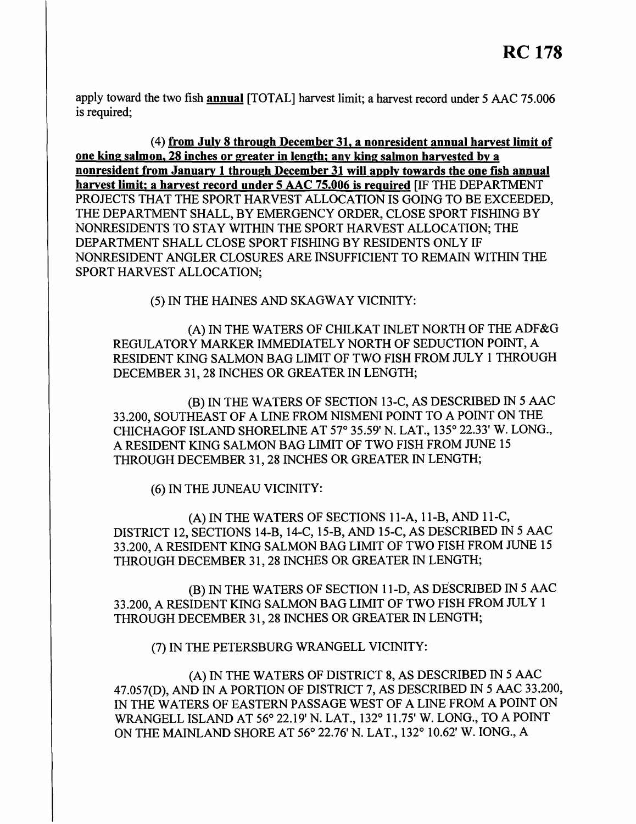apply toward the two fish **annual** [TOTAL] harvest limit; a harvest record under 5 AAC 75.006 is required;

(4) **from July 8 through December 31, a nonresident annual harvest limit of one king salmon, 28 inches or greater in length; any king salmon harvested by a nonresident from January 1 through December 31 will apply towards the one fish annual harvest limit; a harvest record under 5 AAC 75.006 is required** [IF THE DEPARTMENT PROJECTS THAT THE SPORT HARVEST ALLOCATION IS GOING TO BE EXCEEDED, THE DEPARTMENT SHALL, BY EMERGENCY ORDER, CLOSE SPORT FISHING BY NONRESIDENTS TO STAY WITHIN THE SPORT HARVEST ALLOCATION; THE DEPARTMENT SHALL CLOSE SPORT FISHING BY RESIDENTS ONLY IF NONRESIDENT ANGLER CLOSURES ARE INSUFFICIENT TO REMAIN WITHIN THE SPORT HARVEST ALLOCATION;

(5) IN THE HAINES AND SKAGWAY VICINITY:

(A) IN THE WATERS OF CHILKAT INLET NORTH OF THE ADF&G REGULATORY MARKER IMMEDIATELY NORTH OF SEDUCTION POINT, A RESIDENT KING SALMON BAG LIMIT OF TWO FISH FROM JULY 1 THROUGH DECEMBER 31, 28 INCHES OR GREATER IN LENGTH;

(B) IN THE WATERS OF SECTION 13-C, AS DESCRIBED IN 5 AAC 33.200, SOUTHEAST OF A LINE FROM NISMENI POINT TO A POINT ON THE CHICHAGOF ISLAND SHORELINE AT 57° 35.59' N. LAT., 135° 22.33' W. LONG., A RESIDENT KING SALMON BAG LIMIT OF TWO FISH FROM JUNE 15 THROUGH DECEMBER 31, 28 INCHES OR GREATER IN LENGTH;

(6) IN THE JUNEAU VICINITY:

(A) IN THE WATERS OF SECTIONS 11-A, 11-B, AND 11-C, DISTRICT 12, SECTIONS 14-B, 14-C, 15-B, AND 15-C, AS DESCRIBED IN 5 AAC 33.200, A RESIDENT KING SALMON BAG LIMIT OF TWO FISH FROM JUNE 15 THROUGH DECEMBER 31, 28 INCHES OR GREATER IN LENGTH;

(B) IN THE WATERS OF SECTION 11-D, AS DESCRIBED IN 5 AAC 33.200, A RESIDENT KING SALMON BAG LIMIT OF TWO FISH FROM JULY 1 THROUGH DECEMBER 31, 28 INCHES OR GREATER IN LENGTH;

(7) IN THE PETERSBURG WRANGELL VICINITY:

(A) IN THE WATERS OF DISTRICT 8, AS DESCRIBED IN 5 AAC 47.057(D), AND IN A PORTION OF DISTRICT 7, AS DESCRIBED IN 5 AAC 33.200, IN THE WATERS OF EASTERN PASSAGE WEST OF A LINE FROM A POINT ON WRANGELL ISLAND AT 56° 22.19' N. LAT., 132° 11.75' W. LONG., TO A POINT ON THE MAINLAND SHORE AT 56° 22.76' N. LAT., 132° 10.62' W. IONG., A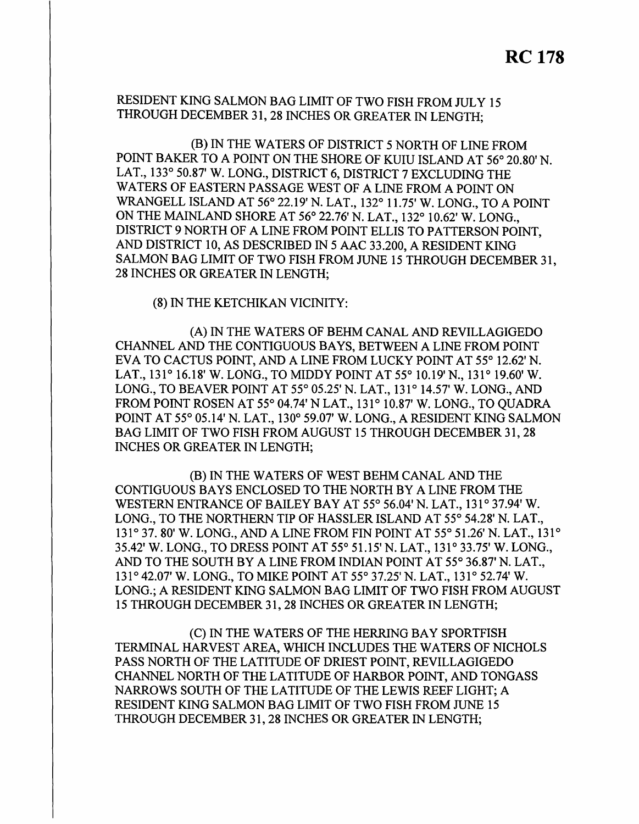RESIDENT KING SALMON BAG LIMIT OF TWO FISH FROM JULY 15 THROUGH DECEMBER 31, 28 INCHES OR GREATER IN LENGTH;

(B) IN THE WATERS OF DISTRICT 5 NORTH OF LINE FROM POINT BAKER TO A POINT ON THE SHORE OF KUIU ISLAND AT 56° 20.80' N. LAT., 133° 50.87' W. LONG., DISTRICT 6, DISTRICT 7 EXCLUDING THE WATERS OF EASTERN PASSAGE WEST OF A LINE FROM A POINT ON WRANGELL ISLAND AT 56° 22.19' N. LAT., 132° 11.75' W. LONG., TO A POINT ON THE MAINLAND SHORE AT 56° 22.76' N. LAT., 132° 10.62' W. LONG., DISTRICT 9 NORTH OF A LINE FROM POINT ELLIS TO PATTERSON POINT, AND DISTRICT 10, AS DESCRIBED IN 5 AAC 33.200, A RESIDENT KING SALMON BAG LIMIT OF TWO FISH FROM JUNE 15 THROUGH DECEMBER 31, 28 INCHES OR GREATER IN LENGTH;

(8) IN THE KETCHIKAN VICINITY:

(A) IN THE WATERS OF BEHM CANAL AND REVILLAGIGEDO CHANNEL AND THE CONTIGUOUS BAYS, BETWEEN A LINE FROM POINT EVA TO CACTUS POINT, AND A LINE FROM LUCKY POINT AT 55° 12.62' N. LAT., 131° 16.18' W. LONG., TO MIDDY POINT AT 55° 10.19' N., 131° 19.60' W. LONG., TO BEAVER POINT AT 55° 05.25' N. LAT., 131° 14.57' W. LONG., AND FROM POINT ROSEN AT 55° 04.74' N LAT., 131° 10.87' W. LONG., TO OUADRA POINT AT 55° 05.14' N. LAT., 130° 59.07' W. LONG., A RESIDENT KING SALMON BAG LIMIT OF TWO FISH FROM AUGUST 15 THROUGH DECEMBER 31, 28 INCHES OR GREATER IN LENGTH;

(B) IN THE WATERS OF WEST BEHM CANAL AND THE CONTIGUOUS BAYS ENCLOSED TO THE NORTH BY A LINE FROM THE WESTERN ENTRANCE OF BAILEY BAY AT 55° 56.04' N. LAT., 131° 37.94' W. LONG., TO THE NORTHERN TIP OF HASSLER ISLAND AT 55° 54.28' N. LAT., 131° 37. 80' W. LONG., AND A LINE FROM FIN POINT AT 55° 51.26' N. LAT., 131 ° 35.42' W. LONG., TO DRESS POINT AT 55° 51.15' N. LAT., 131° 33.75' W. LONG., AND TO THE SOUTH BY A LINE FROM INDIAN POINT AT 55° 36.87' N. LAT., 131 ° 42.07' W. LONG., TO MIKE POINT AT 55° 37.25' N. LAT., 131° 52.74' W. LONG.; A RESIDENT KING SALMON BAG LIMIT OF TWO FISH FROM AUGUST 15 THROUGH DECEMBER 31, 28 INCHES OR GREATER IN LENGTH;

(C) IN THE WATERS OF THE HERRING BAY SPORTFISH TERMINAL HARVEST AREA, WHICH INCLUDES THE WATERS OF NICHOLS PASS NORTH OF THE LATITUDE OF DRIEST POINT, REVILLAGIGEDO CHANNEL NORTH OF THE LATITUDE OF HARBOR POINT, AND TONGASS NARROWS SOUTH OF THE LATITUDE OF THE LEWIS REEF LIGHT; A RESIDENT KING SALMON BAG LIMIT OF TWO FISH FROM JUNE 15 THROUGH DECEMBER 31, 28 INCHES OR GREATER IN LENGTH;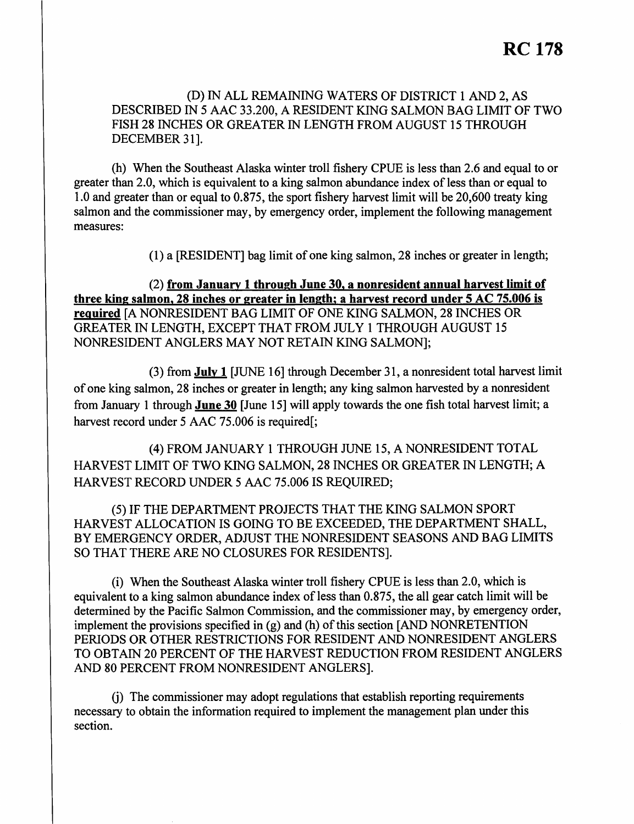(D) IN ALL REMAINING WATERS OF DISTRICT 1 AND 2, AS DESCRIBED IN 5 AAC 33.200, A RESIDENT KING SALMON BAG LIMIT OF TWO FISH 28 INCHES OR GREATER IN LENGTH FROM AUGUST 15 THROUGH DECEMBER 31].

(h) When the Southeast Alaska winter troll fishery CPUE is less than 2.6 and equal to or greater than 2.0, which is equivalent to a king salmon abundance index of less than or equal to 1.0 and greater than or equal to 0.875, the sport fishery harvest limit will be 20,600 treaty king salmon and the commissioner may, by emergency order, implement the following management measures:

(1) a [RESIDENT] bag limit of one king salmon, 28 inches or greater in length;

(2) **from January 1 through June 30, a nonresident annual harvest limit of three king salmon, 28 inches or greater in length; a harvest record under 5 AC 75.006 is required** [A NONRESIDENT BAG LIMIT OF ONE KING SALMON, 28 INCHES OR GREATER IN LENGTH, EXCEPT THAT FROM JULY 1 THROUGH AUGUST 15 NONRESIDENT ANGLERS MAY NOT RETAIN KING SALMON];

(3) from **July 1** [JUNE 16] through December 31, a nonresident total harvest limit of one king salmon, 28 inches or greater in length; any king salmon harvested by a nonresident from January I through **June 30** [June 15] will apply towards the one fish total harvest limit; a harvest record under 5 AAC 75.006 is required[;

(4) FROM JANUARY I THROUGH JUNE 15, A NONRESIDENT TOTAL HARVEST LIMIT OF TWO KING SALMON, 28 INCHES OR GREATER IN LENGTH; A HARVEST RECORD UNDER *5* AAC 75.006 IS REQUIRED;

(5) IF THE DEPARTMENT PROJECTS THAT THE KING SALMON SPORT HARVEST ALLOCATION IS GOING TO BE EXCEEDED, THE DEPARTMENT SHALL, BY EMERGENCY ORDER, ADJUST THE NONRESIDENT SEASONS AND BAG LIMITS SO THAT THERE ARE NO CLOSURES FOR RESIDENTS].

(i) When the Southeast Alaska winter troll fishery CPUE is less than 2.0, which is equivalent to a king salmon abundance index of less than 0.875, the all gear catch limit will be determined by the Pacific Salmon Commission, and the commissioner may, by emergency order, implement the provisions specified in  $(g)$  and  $(h)$  of this section [AND NONRETENTION PERIODS OR OTHER RESTRICTIONS FOR RESIDENT AND NONRESIDENT ANGLERS TO OBTAIN 20 PERCENT OF THE HARVEST REDUCTION FROM RESIDENT ANGLERS AND 80 PERCENT FROM NONRESIDENT ANGLERS].

G) The commissioner may adopt regulations that establish reporting requirements necessary to obtain the information required to implement the management plan under this section.